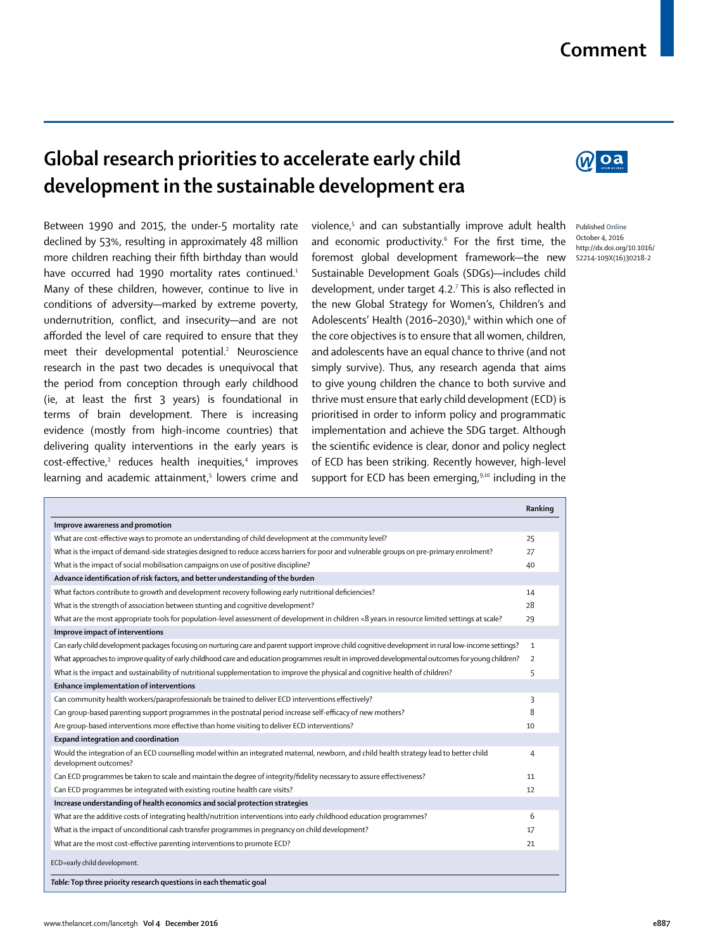## **Comment**

## **Global research priorities to accelerate early child development in the sustainable development era**

Between 1990 and 2015, the under-5 mortality rate declined by 53%, resulting in approximately 48 million more children reaching their fifth birthday than would have occurred had 1990 mortality rates continued.<sup>1</sup> Many of these children, however, continue to live in conditions of adversity—marked by extreme poverty, undernutrition, conflict, and insecurity-and are not afforded the level of care required to ensure that they meet their developmental potential.2 Neuroscience research in the past two decades is unequivocal that the period from conception through early childhood (ie, at least the first  $3$  years) is foundational in terms of brain development. There is increasing evidence (mostly from high-income countries) that delivering quality interventions in the early years is cost-eff ective,3 reduces health inequities,4 improves learning and academic attainment,<sup>5</sup> lowers crime and

violence,5 and can sub stantially improve adult health Published **Online** and economic productivity.<sup>6</sup> For the first time, the foremost global development framework—the new Sustainable Development Goals (SDGs)-includes child development, under target 4.2.<sup>7</sup> This is also reflected in the new Global Strategy for Women's, Children's and Adolescents' Health (2016–2030), $^8$  within which one of the core objectives is to ensure that all women, children, and adolescents have an equal chance to thrive (and not simply survive). Thus, any research agenda that aims to give young children the chance to both survive and thrive must ensure that early child development (ECD) is prioritised in order to inform policy and programmatic implementation and achieve the SDG target. Although the scientific evidence is clear, donor and policy neglect of ECD has been striking. Recently however, high-level support for ECD has been emerging,<sup>9,10</sup> including in the

| <b>PEN ACCESS</b> |
|-------------------|
|                   |

October 4, 2016 http://dx.doi.org/10.1016/ S2214-109X(16)30218-2

|                                                                                                                                                                   | Ranking        |
|-------------------------------------------------------------------------------------------------------------------------------------------------------------------|----------------|
| Improve awareness and promotion                                                                                                                                   |                |
| What are cost-effective ways to promote an understanding of child development at the community level?                                                             | 25             |
| What is the impact of demand-side strategies designed to reduce access barriers for poor and vulnerable groups on pre-primary enrolment?                          | 27             |
| What is the impact of social mobilisation campaigns on use of positive discipline?                                                                                | 40             |
| Advance identification of risk factors, and better understanding of the burden                                                                                    |                |
| What factors contribute to growth and development recovery following early nutritional deficiencies?                                                              | 14             |
| What is the strength of association between stunting and cognitive development?                                                                                   | 28             |
| What are the most appropriate tools for population-level assessment of development in children <8 years in resource limited settings at scale?                    | 29             |
| Improve impact of interventions                                                                                                                                   |                |
| Can early child development packages focusing on nurturing care and parent support improve child cognitive development in rural low-income settings?              | $\mathbf{1}$   |
| What approaches to improve quality of early childhood care and education programmes result in improved developmental outcomes for young children?                 | $\overline{z}$ |
| What is the impact and sustainability of nutritional supplementation to improve the physical and cognitive health of children?                                    | 5              |
| <b>Enhance implementation of interventions</b>                                                                                                                    |                |
| Can community health workers/paraprofessionals be trained to deliver ECD interventions effectively?                                                               | 3              |
| Can group-based parenting support programmes in the postnatal period increase self-efficacy of new mothers?                                                       | 8              |
| Are group-based interventions more effective than home visiting to deliver ECD interventions?                                                                     | 10             |
| Expand integration and coordination                                                                                                                               |                |
| Would the integration of an ECD counselling model within an integrated maternal, newborn, and child health strategy lead to better child<br>development outcomes? | $\overline{4}$ |
| Can ECD programmes be taken to scale and maintain the degree of integrity/fidelity necessary to assure effectiveness?                                             | 11             |
| Can ECD programmes be integrated with existing routine health care visits?                                                                                        | 12             |
| Increase understanding of health economics and social protection strategies                                                                                       |                |
| What are the additive costs of integrating health/nutrition interventions into early childhood education programmes?                                              | 6              |
| What is the impact of unconditional cash transfer programmes in pregnancy on child development?                                                                   | 17             |
| What are the most cost-effective parenting interventions to promote ECD?                                                                                          | 21             |
| ECD=early child development.                                                                                                                                      |                |
| Table: Top three priority research questions in each thematic goal                                                                                                |                |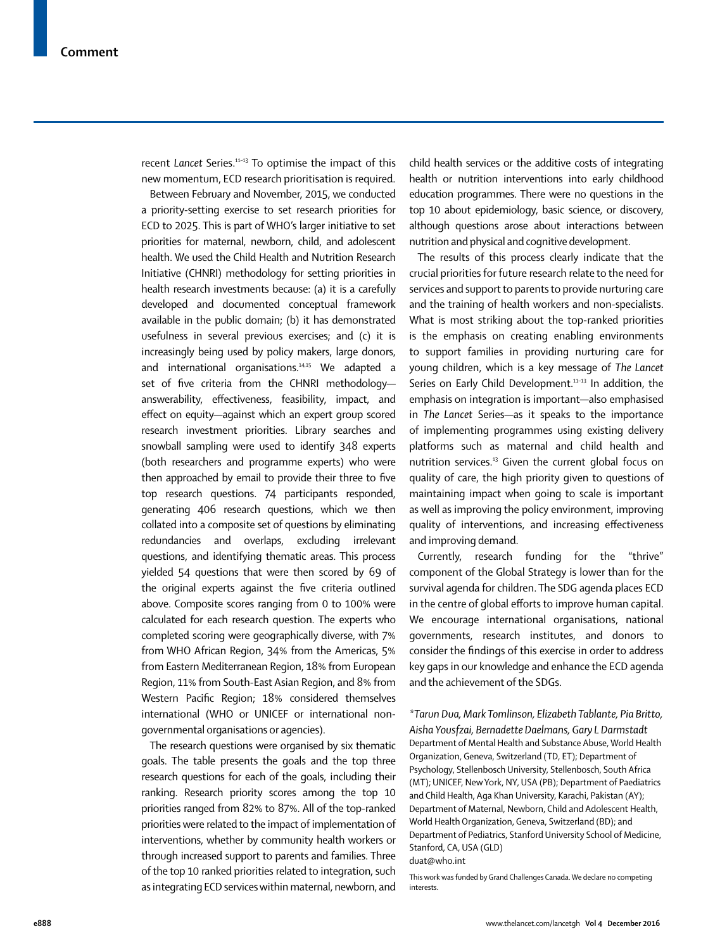recent *Lancet* Series.<sup>11-13</sup> To optimise the impact of this new momentum, ECD research prioritisation is required.

Between February and November, 2015, we conducted a priority-setting exercise to set research priorities for ECD to 2025. This is part of WHO's larger initiative to set priorities for maternal, newborn, child, and adolescent health. We used the Child Health and Nutrition Research Initiative (CHNRI) methodology for setting priorities in health research investments because: (a) it is a carefully developed and documented conceptual framework available in the public domain; (b) it has demonstrated usefulness in several previous exercises; and (c) it is increasingly being used by policy makers, large donors, and international organisations.<sup>14,15</sup> We adapted a set of five criteria from the CHNRI methodologyanswerability, effectiveness, feasibility, impact, and effect on equity—against which an expert group scored research investment priorities. Library searches and snowball sampling were used to identify 348 experts (both researchers and programme experts) who were then approached by email to provide their three to five top research questions. 74 participants responded, generating 406 research questions, which we then collated into a composite set of questions by eliminating redundancies and overlaps, excluding irrelevant questions, and identifying thematic areas. This process yielded 54 questions that were then scored by 69 of the original experts against the five criteria outlined above. Composite scores ranging from 0 to 100% were calculated for each research question. The experts who completed scoring were geographically diverse, with 7% from WHO African Region, 34% from the Americas, 5% from Eastern Mediterranean Region, 18% from European Region, 11% from South-East Asian Region, and 8% from Western Pacific Region; 18% considered themselves international (WHO or UNICEF or international nongovernmental organisations or agencies).

The research questions were organised by six thematic goals. The table presents the goals and the top three research questions for each of the goals, including their ranking. Research priority scores among the top 10 priorities ranged from 82% to 87%. All of the top-ranked priorities were related to the impact of implementation of interventions, whether by community health workers or through increased support to parents and families. Three of the top 10 ranked priorities related to integration, such as integrating ECD services within maternal, newborn, and child health services or the additive costs of integrating health or nutrition interventions into early childhood education programmes. There were no questions in the top 10 about epidemiology, basic science, or discovery, although questions arose about interactions between nutrition and physical and cognitive development.

The results of this process clearly indicate that the crucial priorities for future research relate to the need for services and support to parents to provide nurturing care and the training of health workers and non-specialists. What is most striking about the top-ranked priorities is the emphasis on creating enabling environments to support families in providing nurturing care for young children, which is a key message of *The Lancet* Series on Early Child Development.<sup>11-13</sup> In addition, the emphasis on integration is important—also emphasised in *The Lancet* Series—as it speaks to the importance of implementing programmes using existing delivery platforms such as maternal and child health and nutrition services.<sup>13</sup> Given the current global focus on quality of care, the high priority given to questions of maintaining impact when going to scale is important as well as improving the policy environment, improving quality of interventions, and increasing effectiveness and improving demand.

Currently, research funding for the "thrive" component of the Global Strategy is lower than for the survival agenda for children. The SDG agenda places ECD in the centre of global efforts to improve human capital. We encourage international organisations, national governments, research institutes, and donors to consider the findings of this exercise in order to address key gaps in our knowledge and enhance the ECD agenda and the achievement of the SDGs.

*\*Tarun Dua, Mark Tomlinson, Elizabeth Tablante, Pia Britto, Aisha Yousfzai, Bernadette Daelmans, Gary L Darmstadt* Department of Mental Health and Substance Abuse, World Health Organization, Geneva, Switzerland (TD, ET); Department of Psychology, Stellenbosch University, Stellenbosch, South Africa (MT); UNICEF, New York, NY, USA (PB); Department of Paediatrics and Child Health, Aga Khan University, Karachi, Pakistan (AY); Department of Maternal, Newborn, Child and Adolescent Health, World Health Organization, Geneva, Switzerland (BD); and Department of Pediatrics, Stanford University School of Medicine, Stanford, CA, USA (GLD)

duat@who.int

This work was funded by Grand Challenges Canada. We declare no competing interests.